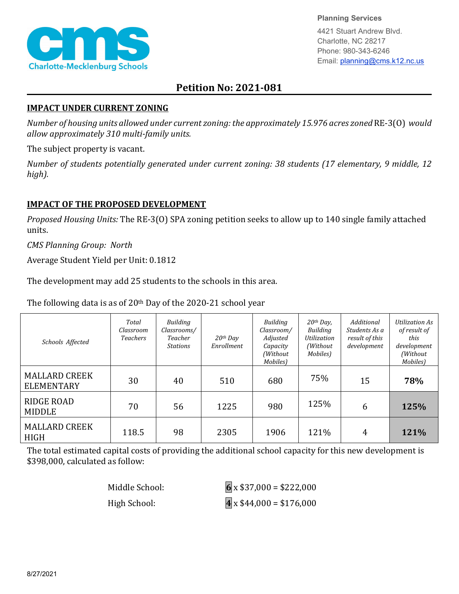

**Planning Services**

4421 Stuart Andrew Blvd. Charlotte, NC 28217 Phone: 980-343-6246 Email: planning@cms.k12.nc.us

## **Petition No: 2021-081**

## **IMPACT UNDER CURRENT ZONING**

*Number of housing units allowed under current zoning: the approximately 15.976 acres zoned* RE-3(O) *would allow approximately 310 multi-family units.*

The subject property is vacant.

*Number of students potentially generated under current zoning: 38 students (17 elementary, 9 middle, 12 high).*

## **IMPACT OF THE PROPOSED DEVELOPMENT**

*Proposed Housing Units:* The RE-3(O) SPA zoning petition seeks to allow up to 140 single family attached units.

*CMS Planning Group: North* 

Average Student Yield per Unit: 0.1812

The development may add 25 students to the schools in this area.

The following data is as of 20th Day of the 2020-21 school year

| Schools Affected                          | Total<br>Classroom<br><b>Teachers</b> | Building<br>Classrooms/<br>Teacher<br><b>Stations</b> | $20th$ Day<br>Enrollment | Building<br>Classroom/<br>Adjusted<br>Capacity<br>(Without<br>Mobiles) | $20th$ Day,<br>Building<br><b>Utilization</b><br>(Without)<br>Mobiles) | Additional<br>Students As a<br>result of this<br>development | Utilization As<br>of result of<br>this<br>development<br>(Without<br>Mobiles) |
|-------------------------------------------|---------------------------------------|-------------------------------------------------------|--------------------------|------------------------------------------------------------------------|------------------------------------------------------------------------|--------------------------------------------------------------|-------------------------------------------------------------------------------|
| <b>MALLARD CREEK</b><br><b>ELEMENTARY</b> | 30                                    | 40                                                    | 510                      | 680                                                                    | 75%                                                                    | 15                                                           | 78%                                                                           |
| RIDGE ROAD<br><b>MIDDLE</b>               | 70                                    | 56                                                    | 1225                     | 980                                                                    | 125%                                                                   | 6                                                            | 125%                                                                          |
| <b>MALLARD CREEK</b><br><b>HIGH</b>       | 118.5                                 | 98                                                    | 2305                     | 1906                                                                   | 121%                                                                   | 4                                                            | 121%                                                                          |

The total estimated capital costs of providing the additional school capacity for this new development is \$398,000, calculated as follow:

| Middle School: | $6 \times $37,000 = $222,000$         |
|----------------|---------------------------------------|
| High School:   | $\overline{4}$ x \$44,000 = \$176,000 |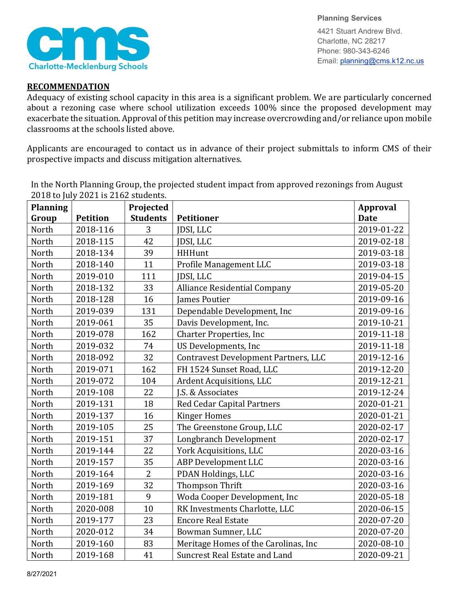

**Planning Services** 4421 Stuart Andrew Blvd. Charlotte, NC 28217 Phone: 980-343-6246 Email: planning@cms.k12.nc.us

## **RECOMMENDATION**

Adequacy of existing school capacity in this area is a significant problem. We are particularly concerned about a rezoning case where school utilization exceeds 100% since the proposed development may exacerbate the situation. Approval of this petition may increase overcrowding and/or reliance upon mobile classrooms at the schools listed above.

Applicants are encouraged to contact us in advance of their project submittals to inform CMS of their prospective impacts and discuss mitigation alternatives.

| <b>Planning</b><br>Group | Petition | Projected<br><b>Students</b> | <b>Petitioner</b>                           | <b>Approval</b><br><b>Date</b> |
|--------------------------|----------|------------------------------|---------------------------------------------|--------------------------------|
| North                    | 2018-116 | 3                            | JDSI, LLC                                   | 2019-01-22                     |
| North                    | 2018-115 | 42                           | JDSI, LLC                                   | 2019-02-18                     |
| North                    |          | 39                           | <b>HHHunt</b>                               | 2019-03-18                     |
|                          | 2018-134 | 11                           |                                             |                                |
| North                    | 2018-140 |                              | Profile Management LLC                      | 2019-03-18                     |
| North                    | 2019-010 | 111                          | JDSI, LLC                                   | 2019-04-15                     |
| North                    | 2018-132 | 33                           | <b>Alliance Residential Company</b>         | 2019-05-20                     |
| North                    | 2018-128 | 16                           | <b>James Poutier</b>                        | 2019-09-16                     |
| North                    | 2019-039 | 131                          | Dependable Development, Inc                 | 2019-09-16                     |
| North                    | 2019-061 | 35                           | Davis Development, Inc.                     | 2019-10-21                     |
| North                    | 2019-078 | 162                          | <b>Charter Properties, Inc</b>              | 2019-11-18                     |
| North                    | 2019-032 | 74                           | US Developments, Inc                        | 2019-11-18                     |
| North                    | 2018-092 | 32                           | <b>Contravest Development Partners, LLC</b> | 2019-12-16                     |
| North                    | 2019-071 | 162                          | FH 1524 Sunset Road, LLC                    | 2019-12-20                     |
| North                    | 2019-072 | 104                          | Ardent Acquisitions, LLC                    | 2019-12-21                     |
| North                    | 2019-108 | 22                           | J.S. & Associates                           | 2019-12-24                     |
| North                    | 2019-131 | 18                           | <b>Red Cedar Capital Partners</b>           | 2020-01-21                     |
| North                    | 2019-137 | 16                           | <b>Kinger Homes</b>                         | 2020-01-21                     |
| North                    | 2019-105 | 25                           | The Greenstone Group, LLC                   | 2020-02-17                     |
| North                    | 2019-151 | 37                           | Longbranch Development                      | 2020-02-17                     |
| North                    | 2019-144 | 22                           | York Acquisitions, LLC                      | 2020-03-16                     |
| North                    | 2019-157 | 35                           | ABP Development LLC                         | 2020-03-16                     |
| North                    | 2019-164 | $\overline{2}$               | PDAN Holdings, LLC                          | 2020-03-16                     |
| North                    | 2019-169 | 32                           | Thompson Thrift                             | 2020-03-16                     |
| North                    | 2019-181 | 9                            | Woda Cooper Development, Inc                | 2020-05-18                     |
| North                    | 2020-008 | 10                           | RK Investments Charlotte, LLC               | 2020-06-15                     |
| North                    | 2019-177 | 23                           | <b>Encore Real Estate</b>                   | 2020-07-20                     |
| North                    | 2020-012 | 34                           | Bowman Sumner, LLC                          | 2020-07-20                     |
| North                    | 2019-160 | 83                           | Meritage Homes of the Carolinas, Inc        | 2020-08-10                     |
| North                    | 2019-168 | 41                           | <b>Suncrest Real Estate and Land</b>        | 2020-09-21                     |

In the North Planning Group, the projected student impact from approved rezonings from August 2018 to July 2021 is 2162 students.